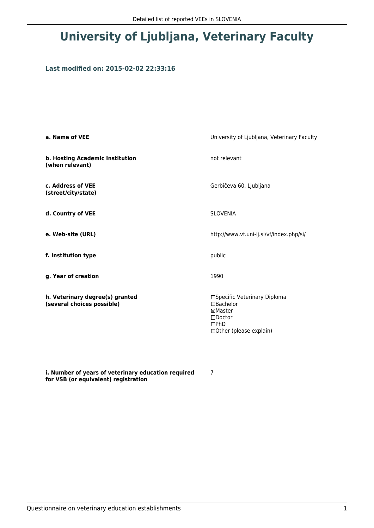## **University of Ljubljana, Veterinary Faculty**

## **Last modified on: 2015-02-02 22:33:16**

| a. Name of VEE                                                | University of Ljubljana, Veterinary Faculty                                                                  |  |
|---------------------------------------------------------------|--------------------------------------------------------------------------------------------------------------|--|
| b. Hosting Academic Institution<br>(when relevant)            | not relevant                                                                                                 |  |
| c. Address of VEE<br>(street/city/state)                      | Gerbičeva 60, Ljubljana                                                                                      |  |
| d. Country of VEE                                             | <b>SLOVENIA</b>                                                                                              |  |
| e. Web-site (URL)                                             | http://www.vf.uni-lj.si/vf/index.php/si/                                                                     |  |
| f. Institution type                                           | public                                                                                                       |  |
| g. Year of creation                                           | 1990                                                                                                         |  |
| h. Veterinary degree(s) granted<br>(several choices possible) | □Specific Veterinary Diploma<br>□Bachelor<br>⊠Master<br>$\square$ Doctor<br>DPhD<br>□ Other (please explain) |  |

**i. Number of years of veterinary education required for VSB (or equivalent) registration**

7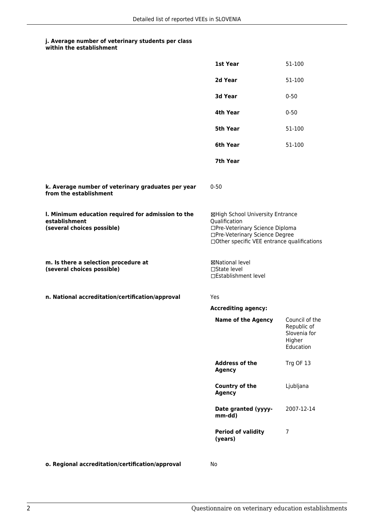## **j. Average number of veterinary students per class**

|                                                                                                   | 1st Year                                                                                                                                                              | 51-100                                                               |
|---------------------------------------------------------------------------------------------------|-----------------------------------------------------------------------------------------------------------------------------------------------------------------------|----------------------------------------------------------------------|
|                                                                                                   | 2d Year                                                                                                                                                               | 51-100                                                               |
|                                                                                                   | 3d Year                                                                                                                                                               | $0 - 50$                                                             |
|                                                                                                   | 4th Year                                                                                                                                                              | $0 - 50$                                                             |
|                                                                                                   | <b>5th Year</b>                                                                                                                                                       | 51-100                                                               |
|                                                                                                   | 6th Year                                                                                                                                                              | 51-100                                                               |
|                                                                                                   | 7th Year                                                                                                                                                              |                                                                      |
| k. Average number of veterinary graduates per year<br>from the establishment                      | $0 - 50$                                                                                                                                                              |                                                                      |
| I. Minimum education required for admission to the<br>establishment<br>(several choices possible) | ⊠High School University Entrance<br>Qualification<br>□Pre-Veterinary Science Diploma<br>□Pre-Veterinary Science Degree<br>□Other specific VEE entrance qualifications |                                                                      |
| m. Is there a selection procedure at<br>(several choices possible)                                | ⊠National level<br>$\Box$ State level<br>□Establishment level                                                                                                         |                                                                      |
| n. National accreditation/certification/approval                                                  | Yes                                                                                                                                                                   |                                                                      |
|                                                                                                   | <b>Accrediting agency:</b>                                                                                                                                            |                                                                      |
|                                                                                                   | <b>Name of the Agency</b>                                                                                                                                             | Council of the<br>Republic of<br>Slovenia for<br>Higher<br>Education |
|                                                                                                   | <b>Address of the</b><br><b>Agency</b>                                                                                                                                | Trg OF 13                                                            |
|                                                                                                   | Country of the<br><b>Agency</b>                                                                                                                                       | Ljubljana                                                            |
|                                                                                                   | Date granted (yyyy-<br>mm-dd)                                                                                                                                         | 2007-12-14                                                           |
|                                                                                                   | <b>Period of validity</b><br>(years)                                                                                                                                  | 7                                                                    |
|                                                                                                   |                                                                                                                                                                       |                                                                      |

**o. Regional accreditation/certification/approval** No